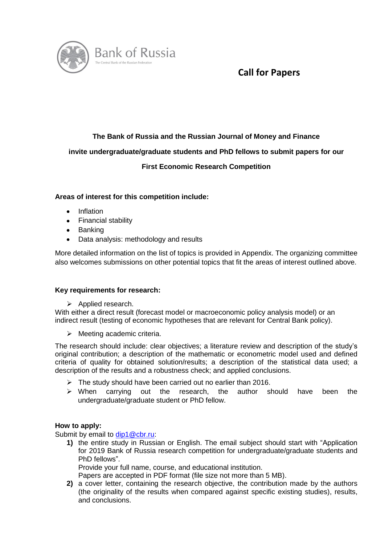

# **Call for Papers**

# **The Bank of Russia and the Russian Journal of Money and Finance**

# **invite undergraduate/graduate students and PhD fellows to submit papers for our**

# **First Economic Research Competition**

## **Areas of interest for this competition include:**

- Inflation
- Financial stability
- Banking
- Data analysis: methodology and results

More detailed information on the list of topics is provided in Appendix. The organizing committee also welcomes submissions on other potential topics that fit the areas of interest outlined above.

## **Key requirements for research:**

 $\triangleright$  Applied research.

With either a direct result (forecast model or macroeconomic policy analysis model) or an indirect result (testing of economic hypotheses that are relevant for Central Bank policy).

 $\triangleright$  Meeting academic criteria.

The research should include: clear objectives; a literature review and description of the study's original contribution; a description of the mathematic or econometric model used and defined criteria of quality for obtained solution/results; a description of the statistical data used; a description of the results and a robustness check; and applied conclusions.

- $\triangleright$  The study should have been carried out no earlier than 2016.
- $\triangleright$  When carrying out the research, the author should have been the undergraduate/graduate student or PhD fellow.

#### **How to apply:**

Submit by email to [dip1@cbr.ru:](mailto:dip1@cbr.ru)

**1)** the entire study in Russian or English. The email subject should start with "Application for 2019 Bank of Russia research competition for undergraduate/graduate students and PhD fellows".

Provide your full name, course, and educational institution.

Papers are accepted in PDF format (file size not more than 5 MB).

**2)** a cover letter, containing the research objective, the contribution made by the authors (the originality of the results when compared against specific existing studies), results, and conclusions.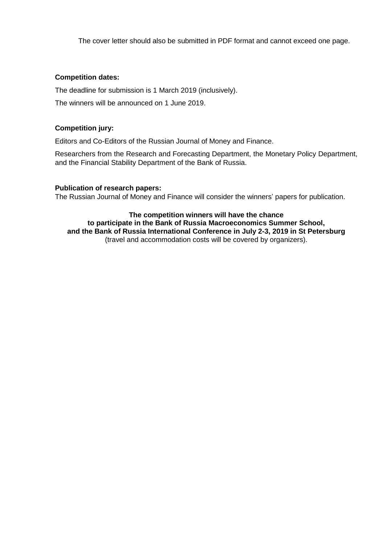The cover letter should also be submitted in PDF format and cannot exceed one page.

#### **Competition dates:**

The deadline for submission is 1 March 2019 (inclusively).

The winners will be announced on 1 June 2019.

### **Competition jury:**

Editors and Co-Editors of the Russian Journal of Money and Finance.

Researchers from the Research and Forecasting Department, the Monetary Policy Department, and the Financial Stability Department of the Bank of Russia.

### **Publication of research papers:**

The Russian Journal of Money and Finance will consider the winners' papers for publication.

#### **The competition winners will have the chance to participate in the Bank of Russia Macroeconomics Summer School, and the Bank of Russia International Conference in July 2-3, 2019 in St Petersburg** (travel and accommodation costs will be covered by organizers).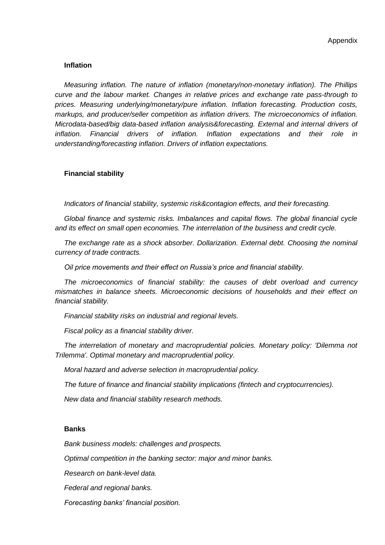#### **Inflation**

*Measuring inflation. The nature of inflation (monetary/non-monetary inflation). The Phillips curve and the labour market. Changes in relative prices and exchange rate pass-through to prices. Measuring underlying/monetary/pure inflation. Inflation forecasting. Production costs, markups, and producer/seller competition as inflation drivers. The microeconomics of inflation. Microdata-based/big data-based inflation analysis&forecasting. External and internal drivers of inflation. Financial drivers of inflation. Inflation expectations and their role in understanding/forecasting inflation. Drivers of inflation expectations.* 

#### **Financial stability**

*Indicators of financial stability, systemic risk&contagion effects, and their forecasting.*

*Global finance and systemic risks. Imbalances and capital flows. The global financial cycle and its effect on small open economies. The interrelation of the business and credit cycle.*

*The exchange rate as a shock absorber. Dollarization. External debt. Choosing the nominal currency of trade contracts.*

*Oil price movements and their effect on Russia's price and financial stability.*

*The microeconomics of financial stability: the causes of debt overload and currency mismatches in balance sheets. Microeconomic decisions of households and their effect on financial stability.* 

*Financial stability risks on industrial and regional levels.*

*Fiscal policy as a financial stability driver.*

*The interrelation of monetary and macroprudential policies. Monetary policy: 'Dilemma not Trilemma'. Optimal monetary and macroprudential policy.*

*Moral hazard and adverse selection in macroprudential policy.*

*The future of finance and financial stability implications (fintech and cryptocurrencies).*

*New data and financial stability research methods.*

#### **Banks**

*Bank business models: challenges and prospects.*

*Optimal competition in the banking sector: major and minor banks.*

*Research on bank-level data.*

*Federal and regional banks.*

*Forecasting banks' financial position.*